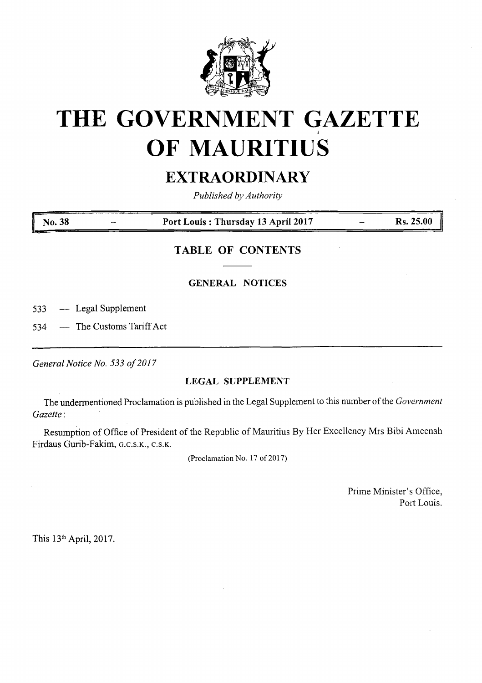

# **THE GOVERNMENT GAZETTE** *i* **OF MAURITIUS**

## **EXTRAORDINARY**

*Published by Authority*

**No. 38 Port Louis : Thursday 13 April 2017 Rs. 25.00**

### **TABLE OF CONTENTS**

#### **GENERAL NOTICES**

533 — Legal Supplement

534 — The Customs Tariff Act

*GeneralNotice No. 533 of2017*

#### **LEGAL SUPPLEMENT**

The undermentioned Proclamation is published in the Legal Supplement to this number ofthe *Government Gazette:*

Resumption of Office of President of the Republic of Mauritius By Her Excellency Mrs Bibi Ameenah Firdaus Gurib-Fakim, g.c.s.k., c.s.k.

(Proclamation No. 17 of 2017)

Prime Minister's Office, Port Louis.

This 13th April, 2017.